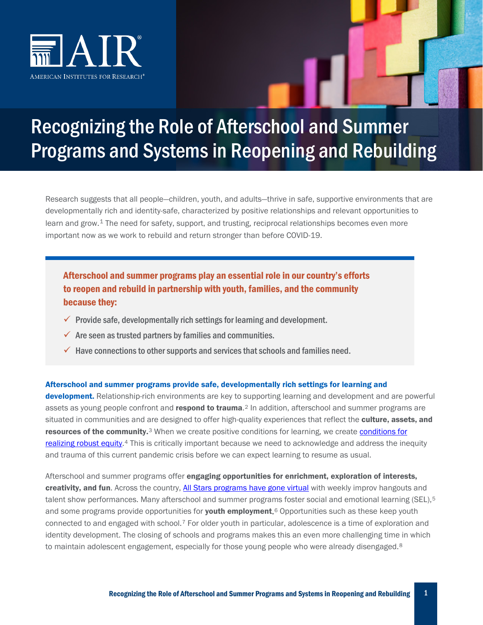

# Recognizing the Role of Afterschool and Summer Programs and Systems in Reopening and Rebuilding

Research suggests that all people—children, youth, and adults—thrive in safe, supportive environments that are developmentally rich and identity-safe, characterized by positive relationships and relevant opportunities to learn and grow.<sup>[1](#page-3-0)</sup> The need for safety, support, and trusting, reciprocal relationships becomes even more important now as we work to rebuild and return stronger than before COVID-19.

### Afterschool and summer programs play an essential role in our country's efforts to reopen and rebuild in partnership with youth, families, and the community because they:

- $\checkmark$  Provide safe, developmentally rich settings for learning and development.
- $\checkmark$  Are seen as trusted partners by families and communities.
- $\checkmark$  Have connections to other supports and services that schools and families need.

#### Afterschool and summer programs provide safe, developmentally rich settings for learning and

development. Relationship-rich environments are key to supporting learning and development and are powerful assets as young people confront and **respond to trauma**.<sup>[2](#page-3-1)</sup> In addition, afterschool and summer programs are situated in communities and are designed to offer high-quality experiences that reflect the culture, assets, and resources of the community.<sup>[3](#page-3-2)</sup> When we create positive [conditions for](https://equityallianceblog.org/content/bread-and-roses-too) learning, we create conditions for [realizing robust equity.](https://equityallianceblog.org/content/bread-and-roses-too)<sup>[4](#page-3-3)</sup> This is critically important because we need to acknowledge and address the inequity and trauma of this current pandemic crisis before we can expect learning to resume as usual.

Afterschool and summer programs offer engaging opportunities for enrichment, exploration of interests, creativity, and fun. Across the country, [All Stars programs have gone virtual](https://allstars.org/event/) with weekly improv hangouts and talent show performances. Many afterschool and summer programs foster social and emotional learning (SEL),<sup>[5](#page-3-4)</sup> and some programs provide opportunities for youth employment.<sup>[6](#page-3-5)</sup> Opportunities such as these keep youth connected to and engaged with school.[7](#page-3-6) For older youth in particular, adolescence is a time of exploration and identity development. The closing of schools and programs makes this an even more challenging time in which to maintain adolescent engagement, especially for those young people who were already disengaged.<sup>[8](#page-3-7)</sup>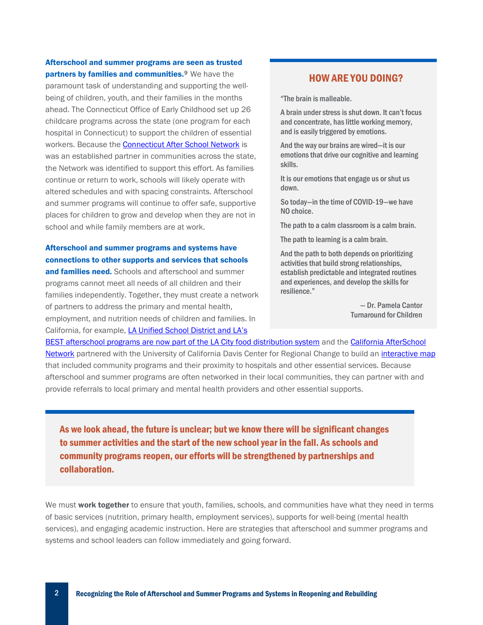## Afterschool and summer programs are seen as trusted

partners by families and communities.<sup>9</sup> We have the paramount task of understanding and supporting the wellbeing of children, youth, and their families in the months ahead. The Connecticut Office of Early Childhood set up 26 childcare programs across the state (one program for each hospital in Connecticut) to support the children of essential workers. Because th[e Connecticut After School Network](http://ctafterschoolnetwork.org/updated-covid-19-information-for-after-school-and-child-care-providers/) is was an established partner in communities across the state, the Network was identified to support this effort. As families continue or return to work, schools will likely operate with altered schedules and with spacing constraints. Afterschool and summer programs will continue to offer safe, supportive places for children to grow and develop when they are not in school and while family members are at work.

#### Afterschool and summer programs and systems have connections to other supports and services that schools

and families need. Schools and afterschool and summer programs cannot meet all needs of all children and their families independently. Together, they must create a network of partners to address the primary and mental health, employment, and nutrition needs of children and families. In California, for example, LA Unified School District and LA's

#### HOW ARE YOU DOING?

"The brain is malleable.

A brain under stress is shut down. It can't focus and concentrate, has little working memory, and is easily triggered by emotions.

And the way our brains are wired—it is our emotions that drive our cognitive and learning skills.

It is our emotions that engage us or shut us down.

So today—in the time of COVID-19—we have NO choice.

The path to a calm classroom is a calm brain.

The path to learning is a calm brain.

And the path to both depends on prioritizing activities that build strong relationships, establish predictable and integrated routines and experiences, and develop the skills for resilience."

> — Dr. Pamela Cantor Turnaround for Children

[BEST afterschool programs are now part of the LA City food distribution system](https://www.afterschoolnetwork.org/post/interview-michael-funk-expanded-learning-services-offered-during-covid-19) and the [California AfterSchool](https://www.afterschoolnetwork.org/covid-19)  [Network](https://www.afterschoolnetwork.org/covid-19) partnered with the University of California Davis Center for Regional Change to build an [interactive map](https://arcg.is/0PD94e) that included community programs and their proximity to hospitals and other essential services. Because afterschool and summer programs are often networked in their local communities, they can partner with and provide referrals to local primary and mental health providers and other essential supports.

As we look ahead, the future is unclear; but we know there will be significant changes to summer activities and the start of the new school year in the fall. As schools and community programs reopen, our efforts will be strengthened by partnerships and collaboration.

We must work together to ensure that youth, families, schools, and communities have what they need in terms of basic services (nutrition, primary health, employment services), supports for well-being (mental health services), and engaging academic instruction. Here are strategies that afterschool and summer programs and systems and school leaders can follow immediately and going forward.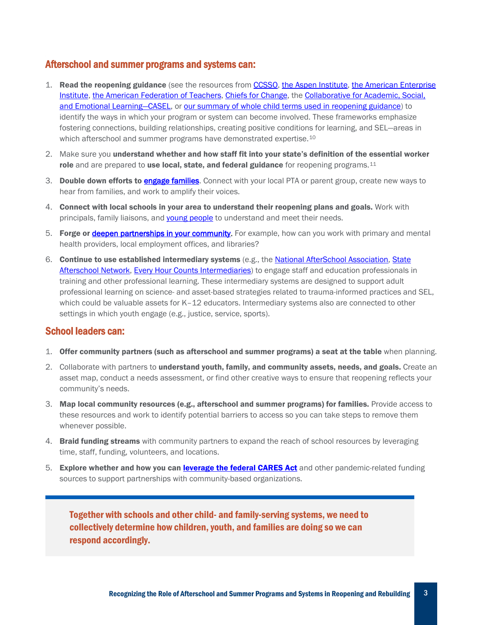#### Afterschool and summer programs and systems can:

- 1. Read the reopening guidance (see the resources from [CCSSO,](https://ccsso.org/blog/ccsso-releases-framework-assist-state-education-leaders-planning-restart-schools) [the Aspen Institute,](https://www.aspeninstitute.org/news/press-release/state-actions-covid-19/) the American Enterprise [Institute,](https://www.aei.org/research-products/report/national-coronavirus-response-a-road-map-to-reopening/) [the American Federation of Teachers,](https://www.aft.org/sites/default/files/covid19_reopen-america-schools.pdf) [Chiefs for Change,](https://chiefsforchange.org/wp-content/uploads/2020/05/CFC-TheReturn_5-13-20.pdf) th[e Collaborative for Academic, Social,](https://casel.org/wp-content/uploads/2020/05/CASEL_Leveraging-SEL-as-You-Prepare-to-Reopen-and-Renew.pdf)  [and Emotional Learning—CASEL,](https://casel.org/wp-content/uploads/2020/05/CASEL_Leveraging-SEL-as-You-Prepare-to-Reopen-and-Renew.pdf) or [our summary of whole child terms used in reopening guidance\)](https://www.air.org/resource/covid-19-and-whole-child-efforts) to identify the ways in which your program or system can become involved. These frameworks emphasize fostering connections, building relationships, creating positive conditions for learning, and SEL—areas in which afterschool and summer programs have demonstrated expertise.<sup>[10](#page-3-9)</sup>
- 2. Make sure you understand whether and how staff fit into your state's definition of the essential worker role and are prepared to use local, state, and federal guidance for reopening programs.<sup>[11](#page-3-10)</sup>
- 3. Double down efforts to [engage families.](https://bealearninghero.org/) Connect with your local PTA or parent group, create new ways to hear from families, and work to amplify their voices.
- 4. Connect with local schools in your area to understand their reopening plans and goals. Work with principals, family liaisons, and [young people](https://mikvachallenge.org/virtualresources/) to understand and meet their needs.
- 5. Forge or [deepen partnerships in your community.](http://nationathope.org/wp-content/uploads/aspen_yd_final_2_web-11.18.pdf) For example, how can you work with primary and mental health providers, local employment offices, and libraries?
- 6. Continue to use established intermediary systems (e.g., th[e National AfterSchool Association,](https://naaweb.org/) [State](http://www.statewideafterschoolnetworks.net/)  [Afterschool Network,](http://www.statewideafterschoolnetworks.net/) [Every Hour Counts](http://www.everyhourcounts.org/) Intermediaries) to engage staff and education professionals in training and other professional learning. These intermediary systems are designed to support adult professional learning on science- and asset-based strategies related to trauma-informed practices and SEL, which could be valuable assets for K-12 educators. Intermediary systems also are connected to other settings in which youth engage (e.g., justice, service, sports).

#### School leaders can:

- 1. Offer community partners (such as afterschool and summer programs) a seat at the table when planning.
- 2. Collaborate with partners to understand youth, family, and community assets, needs, and goals. Create an asset map, conduct a needs assessment, or find other creative ways to ensure that reopening reflects your community's needs.
- 3. Map local community resources (e.g., afterschool and summer programs) for families. Provide access to these resources and work to identify potential barriers to access so you can take steps to remove them whenever possible.
- 4. **Braid funding streams** with community partners to expand the reach of school resources by leveraging time, staff, funding, volunteers, and locations.
- 5. Explore whether and how you can [leverage the federal CARES Act](http://www.afterschoolalliance.org/afterschoolsnack/Implementation-process-begins-for-CARES-Act-education-funds_04-15-2020.cfm) and other pandemic-related funding sources to support partnerships with community-based organizations.

Together with schools and other child- and family-serving systems, we need to collectively determine how children, youth, and families are doing so we can respond accordingly.